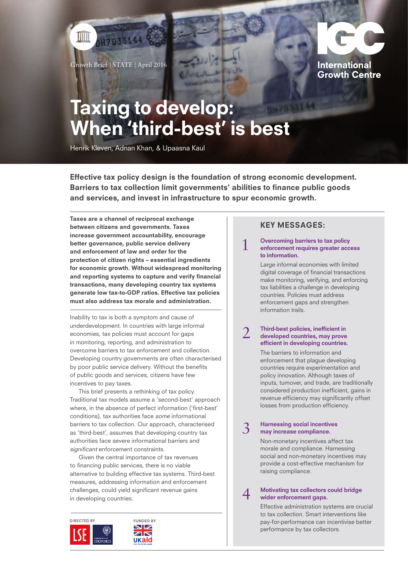

H7033144

ШШ



# Taxing to develop: When 'third-best' is best

Henrik Kleven, Adnan Khan, & Upaasna Kaul

Effective tax policy design is the foundation of strong economic development. Barriers to tax collection limit governments' abilities to finance public goods and services, and invest in infrastructure to spur economic growth.

Taxes are a channel of reciprocal exchange between citizens and governments. Taxes increase government accountability, encourage better governance, public service delivery and enforcement of law and order for the protection of citizen rights – essential ingredients for economic growth. Without widespread monitoring and reporting systems to capture and verify financial transactions, many developing country tax systems generate low tax-to-GDP ratios. Effective tax policies must also address tax morale and administration.

Inability to tax is both a symptom and cause of underdevelopment. In countries with large informal economies, tax policies must account for gaps in monitoring, reporting, and administration to overcome barriers to tax enforcement and collection. Developing country governments are often characterised by poor public service delivery. Without the benefits of public goods and services, citizens have few incentives to pay taxes.

This brief presents a rethinking of tax policy. Traditional tax models assume a 'second-best' approach where, in the absence of perfect information ('first-best' conditions), tax authorities face some informational barriers to tax collection. Our approach, characterised as 'third-best', assumes that developing country tax authorities face severe informational barriers and significant enforcement constraints.

Given the central importance of tax revenues to financing public services, there is no viable alternative to building effective tax systems. Third-best measures, addressing information and enforcement challenges, could yield significant revenue gains in developing countries.





# KEY MESSAGES:

#### 1 Overcoming barriers to tax policy enforcement requires greater access to information.

Large informal economies with limited digital coverage of financial transactions make monitoring, verifying, and enforcing tax liabilities a challenge in developing countries. Policies must address enforcement gaps and strengthen information trails.

#### **Third-best policies, inefficient in** developed countries, may prove efficient in developing countries.

The barriers to information and enforcement that plague developing countries require experimentation and policy innovation. Although taxes of inputs, turnover, and trade, are traditionally considered production inefficient, gains in revenue efficiency may significantly offset losses from production efficiency.

### 3 Harnessing social incentives may increase compliance.

Non-monetary incentives affect tax morale and compliance. Harnessing social and non-monetary incentives may provide a cost-effective mechanism for raising compliance.

### 4 Motivating tax collectors could bridge wider enforcement gaps.

Effective administration systems are crucial to tax collection. Smart interventions like pay-for-performance can incentivise better performance by tax collectors.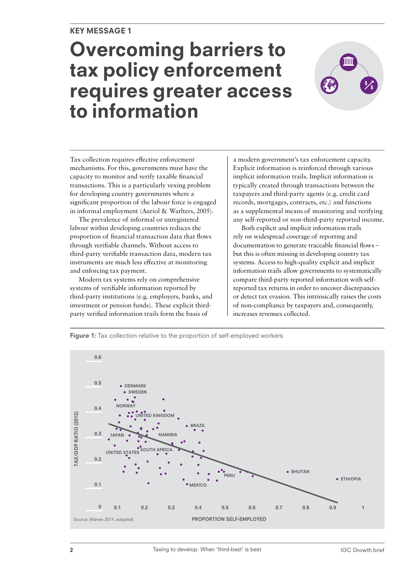# Overcoming barriers to tax policy enforcement requires greater access to information



Tax collection requires effective enforcement mechanisms. For this, governments must have the capacity to monitor and verify taxable financial transactions. This is a particularly vexing problem for developing country governments where a significant proportion of the labour force is engaged in informal employment (Auriol & Warlters, 2005).

The prevalence of informal or unregistered labour within developing countries reduces the proportion of financial transaction data that flows through verifiable channels. Without access to third-party verifiable transaction data, modern tax instruments are much less effective at monitoring and enforcing tax payment.

Modern tax systems rely on comprehensive systems of verifiable information reported by third-party institutions (e.g. employers, banks, and investment or pension funds). These explicit thirdparty verified information trails form the basis of

a modern government's tax enforcement capacity. Explicit information is reinforced through various implicit information trails. Implicit information is typically created through transactions between the taxpayers and third-party agents (e.g. credit card records, mortgages, contracts, etc.) and functions as a supplemental means of monitoring and verifying any self-reported or non-third-party reported income.

Both explicit and implicit information trails rely on widespread coverage of reporting and documentation to generate traceable financial flows – but this is often missing in developing country tax systems. Access to high-quality explicit and implicit information trails allow governments to systematically compare third-party reported information with selfreported tax returns in order to uncover discrepancies or detect tax evasion. This intrinsically raises the costs of non-compliance by taxpayers and, consequently, increases revenues collected.

**Figure 1:** Tax collection relative to the proportion of self-employed workers

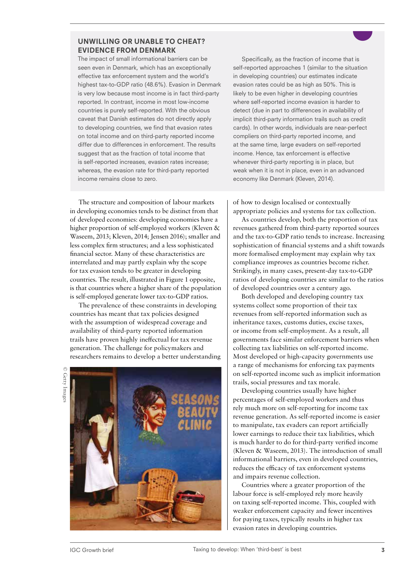# UNWILLING OR UNABLE TO CHEAT? EVIDENCE FROM DENMARK

The impact of small informational barriers can be seen even in Denmark, which has an exceptionally effective tax enforcement system and the world's highest tax-to-GDP ratio (48.6%). Evasion in Denmark is very low because most income is in fact third-party reported. In contrast, income in most low-income countries is purely self-reported. With the obvious caveat that Danish estimates do not directly apply to developing countries, we find that evasion rates on total income and on third-party reported income differ due to differences in enforcement. The results suggest that as the fraction of total income that is self-reported increases, evasion rates increase; whereas, the evasion rate for third-party reported income remains close to zero.

Specifically, as the fraction of income that is self-reported approaches 1 (similar to the situation in developing countries) our estimates indicate evasion rates could be as high as 50%. This is likely to be even higher in developing countries where self-reported income evasion is harder to detect (due in part to differences in availability of implicit third-party information trails such as credit cards). In other words, individuals are near-perfect compliers on third-party reported income, and at the same time, large evaders on self-reported income. Hence, tax enforcement is effective whenever third-party reporting is in place, but weak when it is not in place, even in an advanced economy like Denmark (Kleven, 2014).

The structure and composition of labour markets in developing economies tends to be distinct from that of developed economies: developing economies have a higher proportion of self-employed workers (Kleven & Waseem, 2013; Kleven, 2014; Jensen 2016); smaller and less complex firm structures; and a less sophisticated financial sector. Many of these characteristics are interrelated and may partly explain why the scope for tax evasion tends to be greater in developing countries. The result, illustrated in Figure 1 opposite, is that countries where a higher share of the population is self-employed generate lower tax-to-GDP ratios.

The prevalence of these constraints in developing countries has meant that tax policies designed with the assumption of widespread coverage and availability of third-party reported information trails have proven highly ineffectual for tax revenue generation. The challenge for policymakers and researchers remains to develop a better understanding

© Getty Images © Getty Images



of how to design localised or contextually appropriate policies and systems for tax collection.

As countries develop, both the proportion of tax revenues gathered from third-party reported sources and the tax-to-GDP ratio tends to increase. Increasing sophistication of financial systems and a shift towards more formalised employment may explain why tax compliance improves as countries become richer. Strikingly, in many cases, present-day tax-to-GDP ratios of developing countries are similar to the ratios of developed countries over a century ago.

Both developed and developing country tax systems collect some proportion of their tax revenues from self-reported information such as inheritance taxes, customs duties, excise taxes, or income from self-employment. As a result, all governments face similar enforcement barriers when collecting tax liabilities on self-reported income. Most developed or high-capacity governments use a range of mechanisms for enforcing tax payments on self-reported income such as implicit information trails, social pressures and tax morale.

Developing countries usually have higher percentages of self-employed workers and thus rely much more on self-reporting for income tax revenue generation. As self-reported income is easier to manipulate, tax evaders can report artificially lower earnings to reduce their tax liabilities, which is much harder to do for third-party verified income (Kleven & Waseem, 2013). The introduction of small informational barriers, even in developed countries, reduces the efficacy of tax enforcement systems and impairs revenue collection.

Countries where a greater proportion of the labour force is self-employed rely more heavily on taxing self-reported income. This, coupled with weaker enforcement capacity and fewer incentives for paying taxes, typically results in higher tax evasion rates in developing countries.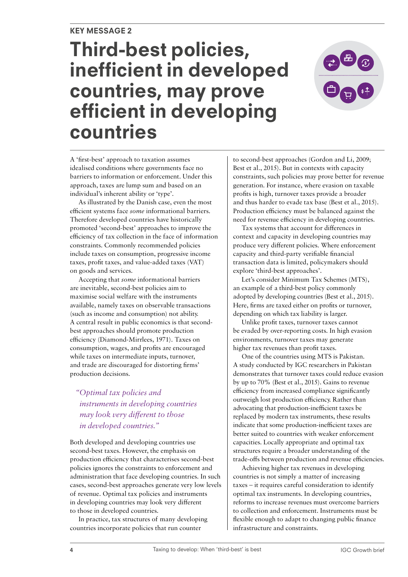# Third-best policies, inefficient in developed countries, may prove efficient in developing countries



A 'first-best' approach to taxation assumes idealised conditions where governments face no barriers to information or enforcement. Under this approach, taxes are lump sum and based on an individual's inherent ability or 'type'.

As illustrated by the Danish case, even the most efficient systems face *some* informational barriers. Therefore developed countries have historically promoted 'second-best' approaches to improve the efficiency of tax collection in the face of information constraints. Commonly recommended policies include taxes on consumption, progressive income taxes, profit taxes, and value-added taxes (VAT) on goods and services.

Accepting that *some* informational barriers are inevitable, second-best policies aim to maximise social welfare with the instruments available, namely taxes on observable transactions (such as income and consumption) not ability. A central result in public economics is that secondbest approaches should promote production efficiency (Diamond-Mirrlees, 1971). Taxes on consumption, wages, and profits are encouraged while taxes on intermediate inputs, turnover, and trade are discouraged for distorting firms' production decisions.

# *"Optimal tax policies and instruments in developing countries may look very different to those in developed countries."*

Both developed and developing countries use second-best taxes. However, the emphasis on production efficiency that characterises second-best policies ignores the constraints to enforcement and administration that face developing countries. In such cases, second-best approaches generate very low levels of revenue. Optimal tax policies and instruments in developing countries may look very different to those in developed countries.

In practice, tax structures of many developing countries incorporate policies that run counter

to second-best approaches (Gordon and Li, 2009; Best et al., 2015). But in contexts with capacity constraints, such policies may prove better for revenue generation. For instance, where evasion on taxable profits is high, turnover taxes provide a broader and thus harder to evade tax base (Best et al., 2015). Production efficiency must be balanced against the need for revenue efficiency in developing countries.

Tax systems that account for differences in context and capacity in developing countries may produce very different policies. Where enforcement capacity and third-party verifiable financial transaction data is limited, policymakers should explore 'third-best approaches'.

Let's consider Minimum Tax Schemes (MTS), an example of a third-best policy commonly adopted by developing countries (Best et al., 2015). Here, firms are taxed either on profits or turnover, depending on which tax liability is larger.

Unlike profit taxes, turnover taxes cannot be evaded by over-reporting costs. In high evasion environments, turnover taxes may generate higher tax revenues than profit taxes.

One of the countries using MTS is Pakistan. A study conducted by IGC researchers in Pakistan demonstrates that turnover taxes could reduce evasion by up to 70% (Best et al., 2015). Gains to revenue efficiency from increased compliance significantly outweigh lost production efficiency. Rather than advocating that production-inefficient taxes be replaced by modern tax instruments, these results indicate that some production-inefficient taxes are better suited to countries with weaker enforcement capacities. Locally appropriate and optimal tax structures require a broader understanding of the trade-offs between production and revenue efficiencies.

Achieving higher tax revenues in developing countries is not simply a matter of increasing taxes – it requires careful consideration to identify optimal tax instruments. In developing countries, reforms to increase revenues must overcome barriers to collection and enforcement. Instruments must be flexible enough to adapt to changing public finance infrastructure and constraints.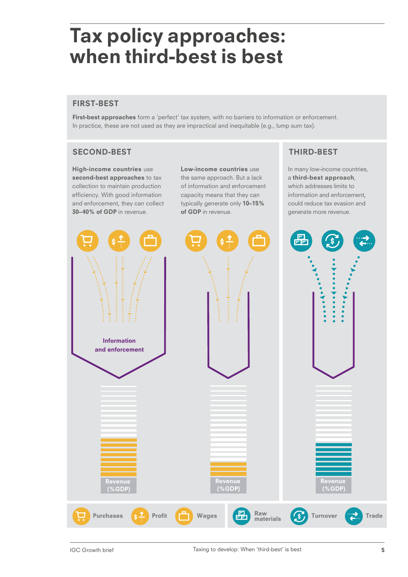# Tax policy approaches: when third-best is best when uniq-pest is best

# FIRST-BEST

First-best approaches form a 'perfect' tax system, with no barriers to information or enforcement. In practice, these are not used as they are impractical and inequitable (e.g., lump sum tax).

# SECOND-BEST THIRD-BEST THIRD-BEST

High-income countries use second-best approaches to tax collection to maintain production efficiency. With good information and enforcement, they can collect 30–40% of GDP in revenue.

Low-income countries use the same approach. But a lack of information and enforcement capacity means that they can typically generate only 10–15% of GDP in revenue.

In many low-income countries, a third-best approach, which addresses limits to information and enforcement, could reduce tax evasion and generate more revenue.

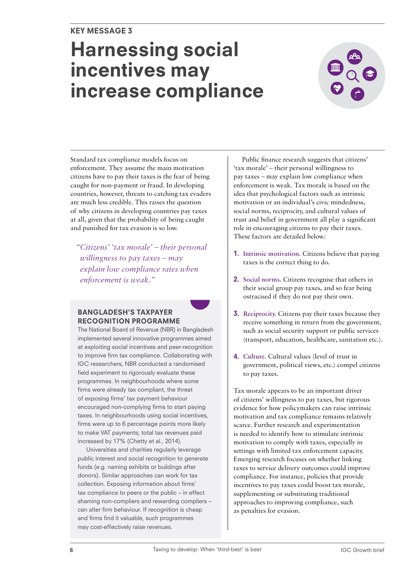# Harnessing social incentives may increase compliance



Standard tax compliance models focus on enforcement. They assume the main motivation citizens have to pay their taxes is the fear of being caught for non-payment or fraud. In developing countries, however, threats to catching tax evaders are much less credible. This raises the question of why citizens in developing countries pay taxes at all, given that the probability of being caught and punished for tax evasion is so low.

*"Citizens' 'tax morale' – their personal willingness to pay taxes – may explain low compliance rates when enforcement is weak."*

# BANGLADESH'S TAXPAYER RECOGNITION PROGRAMME

The National Board of Revenue (NBR) in Bangladesh implemented several innovative programmes aimed at exploiting social incentives and peer-recognition to improve firm tax compliance. Collaborating with IGC researchers, NBR conducted a randomised field experiment to rigorously evaluate these programmes. In neighbourhoods where some firms were already tax compliant, the threat of exposing firms' tax payment behaviour encouraged non-complying firms to start paying taxes. In neighbourhoods using social incentives, firms were up to 6 percentage points more likely to make VAT payments; total tax revenues paid increased by 17% (Chetty et al., 2014).

Universities and charities regularly leverage public interest and social recognition to generate funds (e.g. naming exhibits or buildings after donors). Similar approaches can work for tax collection. Exposing information about firms' tax compliance to peers or the public – in effect shaming non-compliers and rewarding compliers – can alter firm behaviour. If recognition is cheap and firms find it valuable, such programmes may cost-effectively raise revenues.

Public finance research suggests that citizens' 'tax morale' – their personal willingness to pay taxes – may explain low compliance when enforcement is weak. Tax morale is based on the idea that psychological factors such as intrinsic motivation or an individual's civic mindedness, social norms, reciprocity, and cultural values of trust and belief in government all play a significant role in encouraging citizens to pay their taxes. These factors are detailed below:

- 1. **Intrinsic motivation.** Citizens believe that paying taxes is the correct thing to do.
- 2. **Social norms.** Citizens recognise that others in their social group pay taxes, and so fear being ostracised if they do not pay their own.
- 3. **Reciprocity.** Citizens pay their taxes because they receive something in return from the government, such as social security support or public services (transport, education, healthcare, sanitation etc.).
- 4. **Culture.** Cultural values (level of trust in government, political views, etc.) compel citizens to pay taxes.

Tax morale appears to be an important driver of citizens' willingness to pay taxes, but rigorous evidence for how policymakers can raise intrinsic motivation and tax compliance remains relatively scarce. Further research and experimentation is needed to identify how to stimulate intrinsic motivation to comply with taxes, especially in settings with limited tax enforcement capacity. Emerging research focuses on whether linking taxes to service delivery outcomes could improve compliance. For instance, policies that provide incentives to pay taxes could boost tax morale, supplementing or substituting traditional approaches to improving compliance, such as penalties for evasion.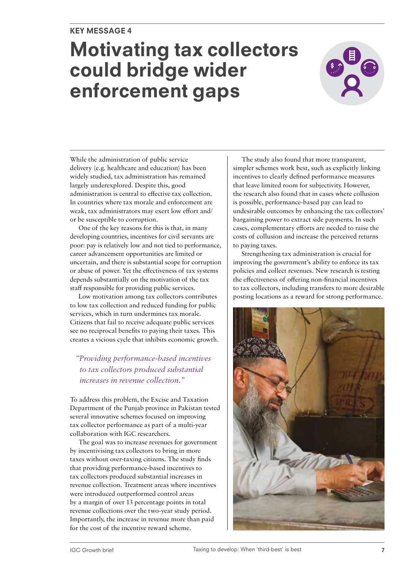# Motivating tax collectors could bridge wider enforcement gaps



While the administration of public service delivery (e.g. healthcare and education) has been widely studied, tax administration has remained largely underexplored. Despite this, good administration is central to effective tax collection. In countries where tax morale and enforcement are weak, tax administrators may exert low effort and/ or be susceptible to corruption.

One of the key reasons for this is that, in many developing countries, incentives for civil servants are poor: pay is relatively low and not tied to performance, career advancement opportunities are limited or uncertain, and there is substantial scope for corruption or abuse of power. Yet the effectiveness of tax systems depends substantially on the motivation of the tax staff responsible for providing public services.

Low motivation among tax collectors contributes to low tax collection and reduced funding for public services, which in turn undermines tax morale. Citizens that fail to receive adequate public services see no reciprocal benefits to paying their taxes. This creates a vicious cycle that inhibits economic growth.

# *"Providing performance-based incentives to tax collectors produced substantial increases in revenue collection."*

To address this problem, the Excise and Taxation Department of the Punjab province in Pakistan tested several innovative schemes focused on improving tax collector performance as part of a multi-year collaboration with IGC researchers.

The goal was to increase revenues for government by incentivising tax collectors to bring in more taxes without over-taxing citizens. The study finds that providing performance-based incentives to tax collectors produced substantial increases in revenue collection. Treatment areas where incentives were introduced outperformed control areas by a margin of over 13 percentage points in total revenue collections over the two-year study period. Importantly, the increase in revenue more than paid for the cost of the incentive reward scheme.

The study also found that more transparent, simpler schemes work best, such as explicitly linking incentives to clearly defined performance measures that leave limited room for subjectivity. However, the research also found that in cases where collusion is possible, performance-based pay can lead to undesirable outcomes by enhancing the tax collectors' bargaining power to extract side payments. In such cases, complementary efforts are needed to raise the costs of collusion and increase the perceived returns to paying taxes.

Strengthening tax administration is crucial for improving the government's ability to enforce its tax policies and collect revenues. New research is testing the effectiveness of offering non-financial incentives to tax collectors, including transfers to more desirable posting locations as a reward for strong performance.